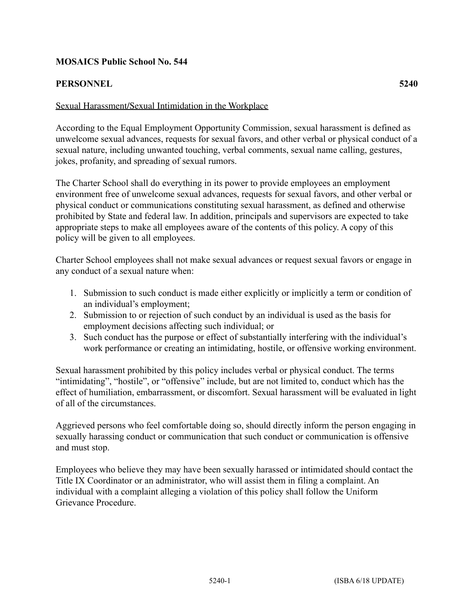# **MOSAICS Public School No. 544**

# **PERSONNEL 5240**

## Sexual Harassment/Sexual Intimidation in the Workplace

According to the Equal Employment Opportunity Commission, sexual harassment is defined as unwelcome sexual advances, requests for sexual favors, and other verbal or physical conduct of a sexual nature, including unwanted touching, verbal comments, sexual name calling, gestures, jokes, profanity, and spreading of sexual rumors.

The Charter School shall do everything in its power to provide employees an employment environment free of unwelcome sexual advances, requests for sexual favors, and other verbal or physical conduct or communications constituting sexual harassment, as defined and otherwise prohibited by State and federal law. In addition, principals and supervisors are expected to take appropriate steps to make all employees aware of the contents of this policy. A copy of this policy will be given to all employees.

Charter School employees shall not make sexual advances or request sexual favors or engage in any conduct of a sexual nature when:

- 1. Submission to such conduct is made either explicitly or implicitly a term or condition of an individual's employment;
- 2. Submission to or rejection of such conduct by an individual is used as the basis for employment decisions affecting such individual; or
- 3. Such conduct has the purpose or effect of substantially interfering with the individual's work performance or creating an intimidating, hostile, or offensive working environment.

Sexual harassment prohibited by this policy includes verbal or physical conduct. The terms "intimidating", "hostile", or "offensive" include, but are not limited to, conduct which has the effect of humiliation, embarrassment, or discomfort. Sexual harassment will be evaluated in light of all of the circumstances.

Aggrieved persons who feel comfortable doing so, should directly inform the person engaging in sexually harassing conduct or communication that such conduct or communication is offensive and must stop.

Employees who believe they may have been sexually harassed or intimidated should contact the Title IX Coordinator or an administrator, who will assist them in filing a complaint. An individual with a complaint alleging a violation of this policy shall follow the Uniform Grievance Procedure.